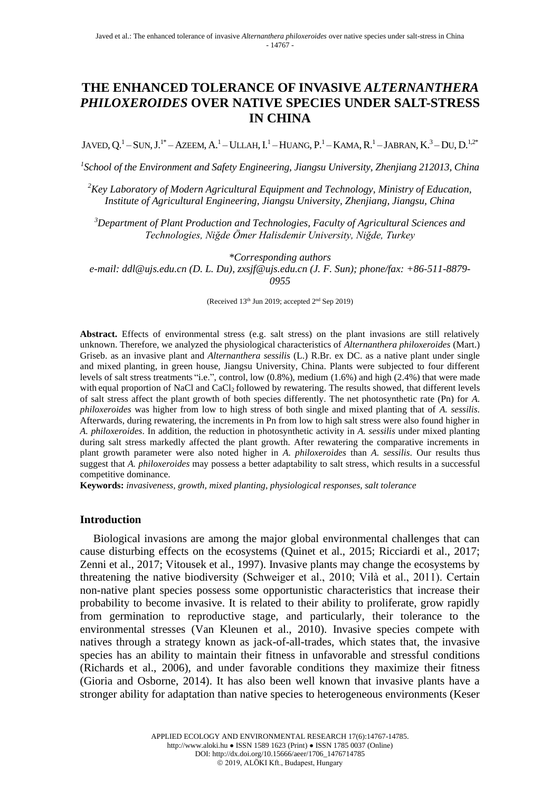# **THE ENHANCED TOLERANCE OF INVASIVE** *ALTERNANTHERA PHILOXEROIDES* **OVER NATIVE SPECIES UNDER SALT-STRESS IN CHINA**

JAVED,  $O<sup>1</sup>$  – SUN, J.<sup>1\*</sup> – AZEEM, A.<sup>1</sup> – ULLAH, I.<sup>1</sup> – HUANG, P.<sup>1</sup> – KAMA, R.<sup>1</sup> – JABRAN, K.<sup>3</sup> – DU, D.<sup>1,2\*</sup>

*1 School of the Environment and Safety Engineering, Jiangsu University, Zhenjiang 212013, China*

*<sup>2</sup>Key Laboratory of Modern Agricultural Equipment and Technology, Ministry of Education, Institute of Agricultural Engineering, Jiangsu University, Zhenjiang, Jiangsu, China*

*<sup>3</sup>Department of Plant Production and Technologies, Faculty of Agricultural Sciences and Technologies, Niğde Ömer Halisdemir University, Niğde, Turkey*

*\*Corresponding authors*

*e-mail: ddl@ujs.edu.cn (D. L. Du), zxsjf@ujs.edu.cn (J. F. Sun); phone/fax: +86-511-8879- 0955*

(Received 13<sup>th</sup> Jun 2019; accepted 2<sup>nd</sup> Sep 2019)

Abstract. Effects of environmental stress (e.g. salt stress) on the plant invasions are still relatively unknown. Therefore, we analyzed the physiological characteristics of *Alternanthera philoxeroides* (Mart.) Griseb. as an invasive plant and *Alternanthera sessilis* (L.) R.Br. ex DC. as a native plant under single and mixed planting, in green house, Jiangsu University, China. Plants were subjected to four different levels of salt stress treatments "i.e.", control, low (0.8%), medium (1.6%) and high (2.4%) that were made with equal proportion of NaCl and CaCl<sub>2</sub> followed by rewatering. The results showed, that different levels of salt stress affect the plant growth of both species differently. The net photosynthetic rate (Pn) for *A. philoxeroides* was higher from low to high stress of both single and mixed planting that of *A. sessilis*. Afterwards, during rewatering, the increments in Pn from low to high salt stress were also found higher in *A. philoxeroides*. In addition, the reduction in photosynthetic activity in *A. sessilis* under mixed planting during salt stress markedly affected the plant growth. After rewatering the comparative increments in plant growth parameter were also noted higher in *A. philoxeroides* than *A. sessilis*. Our results thus suggest that *A. philoxeroides* may possess a better adaptability to salt stress, which results in a successful competitive dominance.

**Keywords:** *invasiveness, growth, mixed planting, physiological responses, salt tolerance*

#### **Introduction**

Biological invasions are among the major global environmental challenges that can cause disturbing effects on the ecosystems (Quinet et al., 2015; Ricciardi et al., 2017; Zenni et al., 2017; Vitousek et al., 1997). Invasive plants may change the ecosystems by threatening the native biodiversity (Schweiger et al., 2010; Vilà et al., 2011). Certain non-native plant species possess some opportunistic characteristics that increase their probability to become invasive. It is related to their ability to proliferate, grow rapidly from germination to reproductive stage, and particularly, their tolerance to the environmental stresses (Van Kleunen et al., 2010). Invasive species compete with natives through a strategy known as jack-of-all-trades, which states that, the invasive species has an ability to maintain their fitness in unfavorable and stressful conditions (Richards et al., 2006), and under favorable conditions they maximize their fitness (Gioria and Osborne, 2014). It has also been well known that invasive plants have a stronger ability for adaptation than native species to heterogeneous environments (Keser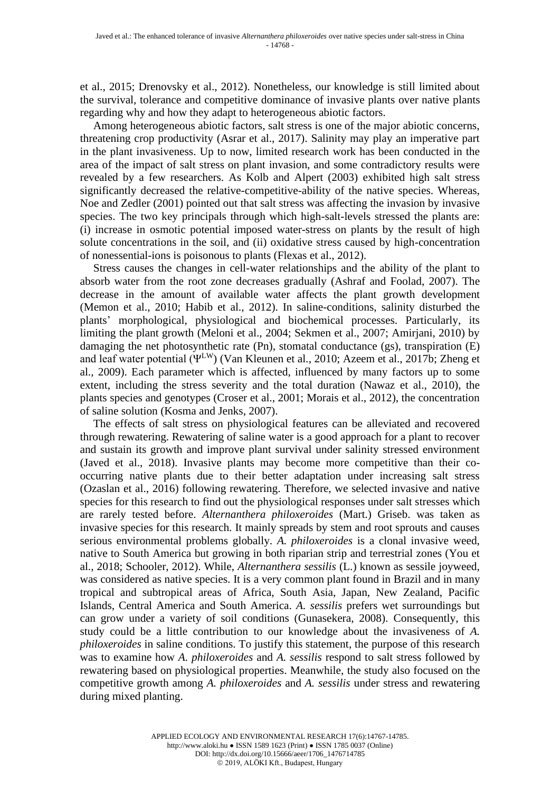et al., 2015; Drenovsky et al., 2012). Nonetheless, our knowledge is still limited about the survival, tolerance and competitive dominance of invasive plants over native plants regarding why and how they adapt to heterogeneous abiotic factors.

Among heterogeneous abiotic factors, salt stress is one of the major abiotic concerns, threatening crop productivity (Asrar et al., 2017). Salinity may play an imperative part in the plant invasiveness. Up to now, limited research work has been conducted in the area of the impact of salt stress on plant invasion, and some contradictory results were revealed by a few researchers. As Kolb and Alpert (2003) exhibited high salt stress significantly decreased the relative-competitive-ability of the native species. Whereas, Noe and Zedler (2001) pointed out that salt stress was affecting the invasion by invasive species. The two key principals through which high-salt-levels stressed the plants are: (i) increase in osmotic potential imposed water-stress on plants by the result of high solute concentrations in the soil, and (ii) oxidative stress caused by high-concentration of nonessential-ions is poisonous to plants (Flexas et al., 2012).

Stress causes the changes in cell-water relationships and the ability of the plant to absorb water from the root zone decreases gradually (Ashraf and Foolad, 2007). The decrease in the amount of available water affects the plant growth development (Memon et al., 2010; Habib et al., 2012). In saline-conditions, salinity disturbed the plants' morphological, physiological and biochemical processes. Particularly, its limiting the plant growth (Meloni et al., 2004; Sekmen et al., 2007; Amirjani, 2010) by damaging the net photosynthetic rate (Pn), stomatal conductance (gs), transpiration (E) and leaf water potential (ΨLW) (Van Kleunen et al., 2010; Azeem et al., 2017b; Zheng et al., 2009). Each parameter which is affected, influenced by many factors up to some extent, including the stress severity and the total duration (Nawaz et al., 2010), the plants species and genotypes (Croser et al., 2001; Morais et al., 2012), the concentration of saline solution (Kosma and Jenks, 2007).

The effects of salt stress on physiological features can be alleviated and recovered through rewatering. Rewatering of saline water is a good approach for a plant to recover and sustain its growth and improve plant survival under salinity stressed environment (Javed et al., 2018). Invasive plants may become more competitive than their cooccurring native plants due to their better adaptation under increasing salt stress (Ozaslan et al., 2016) following rewatering. Therefore, we selected invasive and native species for this research to find out the physiological responses under salt stresses which are rarely tested before. *Alternanthera philoxeroides* (Mart.) Griseb. was taken as invasive species for this research. It mainly spreads by stem and root sprouts and causes serious environmental problems globally. *A. philoxeroides* is a clonal invasive weed, native to South America but growing in both riparian strip and terrestrial zones (You et al., 2018; Schooler, 2012). While, *Alternanthera sessilis* (L.) known as sessile joyweed, was considered as native species. It is a very common plant found in Brazil and in many tropical and subtropical areas of Africa, South Asia, Japan, New Zealand, Pacific Islands, Central America and South America. *A. sessilis* prefers wet surroundings but can grow under a variety of soil conditions (Gunasekera, 2008). Consequently, this study could be a little contribution to our knowledge about the invasiveness of *A. philoxeroides* in saline conditions. To justify this statement, the purpose of this research was to examine how *A. philoxeroides* and *A. sessilis* respond to salt stress followed by rewatering based on physiological properties. Meanwhile, the study also focused on the competitive growth among *A. philoxeroides* and *A. sessilis* under stress and rewatering during mixed planting.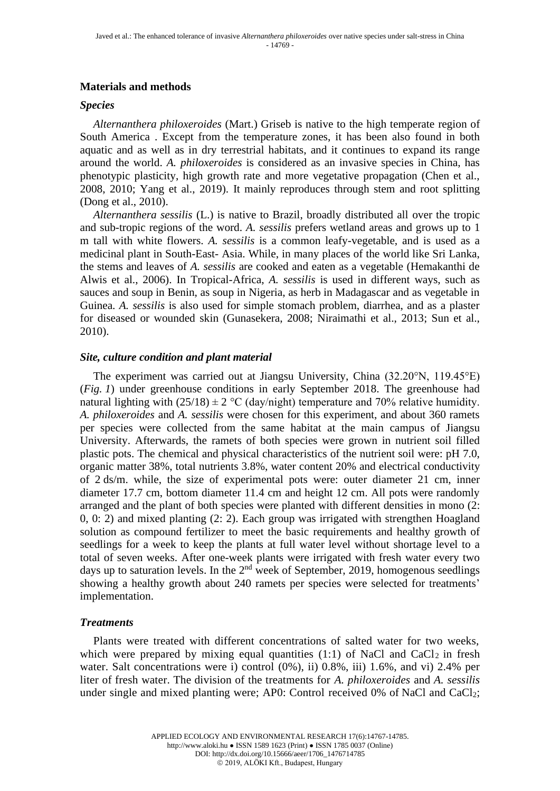## **Materials and methods**

### *Species*

*Alternanthera philoxeroides* (Mart.) Griseb is native to the high temperate region of South America . Except from the temperature zones, it has been also found in both aquatic and as well as in dry terrestrial habitats, and it continues to expand its range around the world. *A. philoxeroides* is considered as an invasive species in China, has phenotypic plasticity, high growth rate and more vegetative propagation (Chen et al., 2008, 2010; Yang et al., 2019). It mainly reproduces through stem and root splitting (Dong et al., 2010).

*Alternanthera sessilis* (L.) is native to Brazil, broadly distributed all over the tropic and sub-tropic regions of the word. *A. sessilis* prefers wetland areas and grows up to 1 m tall with white flowers. *A. sessilis* is a common leafy-vegetable, and is used as a medicinal plant in South-East- Asia. While, in many places of the world like Sri Lanka, the stems and leaves of *A. sessilis* are cooked and eaten as a vegetable (Hemakanthi de Alwis et al., 2006). In Tropical-Africa, *A. sessilis* is used in different ways, such as sauces and soup in Benin, as soup in Nigeria, as herb in Madagascar and as vegetable in Guinea. *A. sessilis* is also used for simple stomach problem, diarrhea, and as a plaster for diseased or wounded skin (Gunasekera, 2008; Niraimathi et al., 2013; Sun et al., 2010).

## *Site, culture condition and plant material*

The experiment was carried out at Jiangsu University, China (32.20°N, 119.45°E) (*Fig. 1*) under greenhouse conditions in early September 2018. The greenhouse had natural lighting with  $(25/18) \pm 2$  °C (day/night) temperature and 70% relative humidity. *A. philoxeroides* and *A. sessilis* were chosen for this experiment, and about 360 ramets per species were collected from the same habitat at the main campus of Jiangsu University. Afterwards, the ramets of both species were grown in nutrient soil filled plastic pots. The chemical and physical characteristics of the nutrient soil were: pH 7.0, organic matter 38%, total nutrients 3.8%, water content 20% and electrical conductivity of 2 ds/m. while, the size of experimental pots were: outer diameter 21 cm, inner diameter 17.7 cm, bottom diameter 11.4 cm and height 12 cm. All pots were randomly arranged and the plant of both species were planted with different densities in mono (2: 0, 0: 2) and mixed planting (2: 2). Each group was irrigated with strengthen Hoagland solution as compound fertilizer to meet the basic requirements and healthy growth of seedlings for a week to keep the plants at full water level without shortage level to a total of seven weeks. After one-week plants were irrigated with fresh water every two days up to saturation levels. In the  $2<sup>nd</sup>$  week of September, 2019, homogenous seedlings showing a healthy growth about 240 ramets per species were selected for treatments' implementation.

## *Treatments*

Plants were treated with different concentrations of salted water for two weeks, which were prepared by mixing equal quantities (1:1) of NaCl and  $CaCl<sub>2</sub>$  in fresh water. Salt concentrations were i) control  $(0\%)$ , ii) 0.8%, iii) 1.6%, and vi) 2.4% per liter of fresh water. The division of the treatments for *A. philoxeroides* and *A. sessilis* under single and mixed planting were; AP0: Control received 0% of NaCl and CaCl<sub>2</sub>;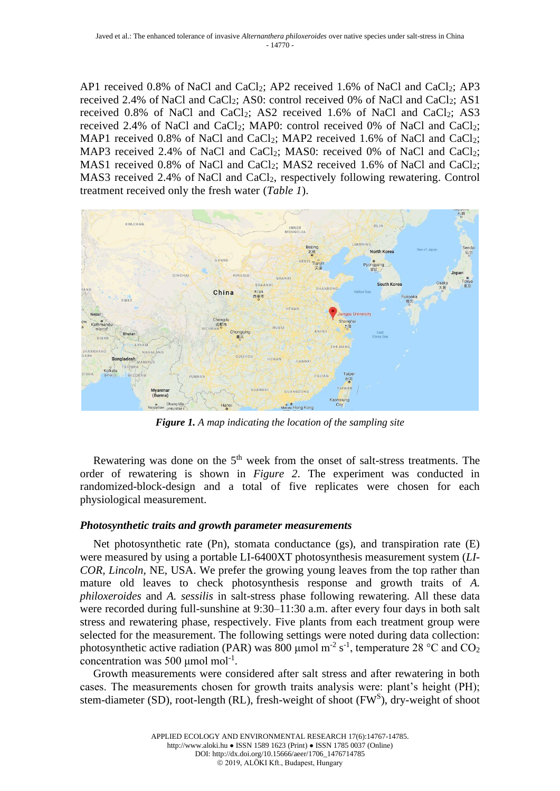AP1 received 0.8% of NaCl and CaCl<sub>2</sub>; AP2 received 1.6% of NaCl and CaCl<sub>2</sub>; AP3 received 2.4% of NaCl and CaCl<sub>2</sub>; AS0: control received 0% of NaCl and CaCl<sub>2</sub>; AS1 received 0.8% of NaCl and CaCl<sub>2</sub>; AS2 received 1.6% of NaCl and CaCl<sub>2</sub>; AS3 received 2.4% of NaCl and CaCl<sub>2</sub>; MAP0: control received 0% of NaCl and CaCl<sub>2</sub>; MAP1 received 0.8% of NaCl and CaCl<sub>2</sub>; MAP2 received 1.6% of NaCl and CaCl<sub>2</sub>; MAP3 received 2.4% of NaCl and CaCl<sub>2</sub>; MAS0: received 0% of NaCl and CaCl<sub>2</sub>; MAS1 received 0.8% of NaCl and CaCl<sub>2</sub>; MAS2 received 1.6% of NaCl and CaCl<sub>2</sub>; MAS3 received 2.4% of NaCl and CaCl<sub>2</sub>, respectively following rewatering. Control treatment received only the fresh water (*Table 1*).



*Figure 1. A map indicating the location of the sampling site*

Rewatering was done on the  $5<sup>th</sup>$  week from the onset of salt-stress treatments. The order of rewatering is shown in *Figure 2*. The experiment was conducted in randomized-block-design and a total of five replicates were chosen for each physiological measurement.

## *Photosynthetic traits and growth parameter measurements*

Net photosynthetic rate (Pn), stomata conductance (gs), and transpiration rate (E) were measured by using a portable LI-6400XT photosynthesis measurement system (*LI-COR, Lincoln*, NE, USA. We prefer the growing young leaves from the top rather than mature old leaves to check photosynthesis response and growth traits of *A. philoxeroides* and *A. sessilis* in salt-stress phase following rewatering. All these data were recorded during full-sunshine at 9:30–11:30 a.m. after every four days in both salt stress and rewatering phase, respectively. Five plants from each treatment group were selected for the measurement. The following settings were noted during data collection: photosynthetic active radiation (PAR) was 800 µmol m<sup>-2</sup> s<sup>-1</sup>, temperature 28 °C and CO<sub>2</sub> concentration was 500  $\mu$ mol mol<sup>-1</sup>.

Growth measurements were considered after salt stress and after rewatering in both cases. The measurements chosen for growth traits analysis were: plant's height (PH); stem-diameter (SD), root-length (RL), fresh-weight of shoot ( $FW<sup>S</sup>$ ), dry-weight of shoot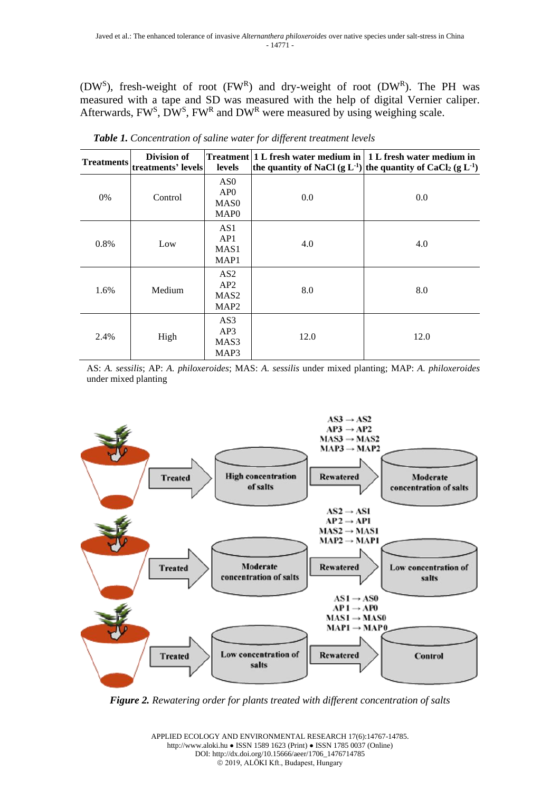(DW<sup>S</sup>), fresh-weight of root (FWR) and dry-weight of root (DWR). The PH was measured with a tape and SD was measured with the help of digital Vernier caliper. Afterwards,  $FW^S$ ,  $DW^S$ ,  $FW^R$  and  $DW^R$  were measured by using weighing scale.

| <b>Treatments</b> | Division of<br>treatments' levels | levels                                                         |      | Treatment 1 L fresh water medium in 1 L fresh water medium in<br>the quantity of NaCl (g L <sup>-1</sup> ) the quantity of CaCl <sub>2</sub> (g L <sup>-1</sup> ) |
|-------------------|-----------------------------------|----------------------------------------------------------------|------|-------------------------------------------------------------------------------------------------------------------------------------------------------------------|
| 0%                | Control                           | AS <sub>0</sub><br>AP0<br>MAS <sub>0</sub><br>MAP <sub>0</sub> | 0.0  | 0.0                                                                                                                                                               |
| 0.8%              | Low                               | AS1<br>AP1<br>MAS <sub>1</sub><br>MAP1                         | 4.0  | 4.0                                                                                                                                                               |
| 1.6%              | Medium                            | AS <sub>2</sub><br>AP2<br>MAS <sub>2</sub><br>MAP <sub>2</sub> | 8.0  | 8.0                                                                                                                                                               |
| 2.4%              | High                              | AS3<br>AP3<br>MAS3<br>MAP3                                     | 12.0 | 12.0                                                                                                                                                              |

*Table 1. Concentration of saline water for different treatment levels*

AS: *A. sessilis*; AP: *A. philoxeroides*; MAS: *A. sessilis* under mixed planting; MAP: *A. philoxeroides*  under mixed planting



*Figure 2. Rewatering order for plants treated with different concentration of salts*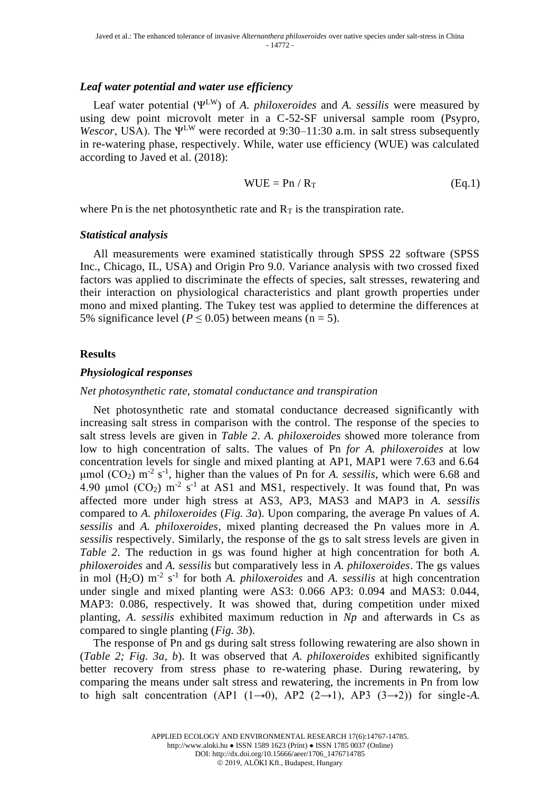### *Leaf water potential and water use efficiency*

Leaf water potential (ΨLW) of *A. philoxeroides* and *A. sessilis* were measured by using dew point microvolt meter in a C-52-SF universal sample room (Psypro, *Wescor*, USA). The  $\Psi^{LW}$  were recorded at 9:30–11:30 a.m. in salt stress subsequently in re-watering phase, respectively. While, water use efficiency (WUE) was calculated according to Javed et al. (2018):

$$
WUE = Pn / R_T
$$
 (Eq.1)

where Pn is the net photosynthetic rate and  $R<sub>T</sub>$  is the transpiration rate.

### *Statistical analysis*

All measurements were examined statistically through SPSS 22 software (SPSS Inc., Chicago, IL, USA) and Origin Pro 9.0. Variance analysis with two crossed fixed factors was applied to discriminate the effects of species, salt stresses, rewatering and their interaction on physiological characteristics and plant growth properties under mono and mixed planting. The Tukey test was applied to determine the differences at 5% significance level ( $P \le 0.05$ ) between means (n = 5).

### **Results**

#### *Physiological responses*

#### *Net photosynthetic rate, stomatal conductance and transpiration*

Net photosynthetic rate and stomatal conductance decreased significantly with increasing salt stress in comparison with the control. The response of the species to salt stress levels are given in *Table 2*. *A. philoxeroides* showed more tolerance from low to high concentration of salts. The values of Pn *for A. philoxeroides* at low concentration levels for single and mixed planting at AP1, MAP1 were 7.63 and 6.64 μmol (CO<sub>2</sub>) m<sup>-2</sup> s<sup>-1</sup>, higher than the values of Pn for *A. sessilis*, which were 6.68 and 4.90 µmol  $(CO_2)$  m<sup>-2</sup> s<sup>-1</sup> at AS1 and MS1, respectively. It was found that, Pn was affected more under high stress at AS3, AP3, MAS3 and MAP3 in *A. sessilis* compared to *A. philoxeroides* (*Fig. 3a*). Upon comparing, the average Pn values of *A. sessilis* and *A. philoxeroides*, mixed planting decreased the Pn values more in *A. sessilis* respectively. Similarly, the response of the gs to salt stress levels are given in *Table 2*. The reduction in gs was found higher at high concentration for both *A. philoxeroides* and *A. sessilis* but comparatively less in *A. philoxeroides*. The gs values in mol  $(H_2O)$  m<sup>-2</sup> s<sup>-1</sup> for both *A. philoxeroides* and *A. sessilis* at high concentration under single and mixed planting were AS3: 0.066 AP3: 0.094 and MAS3: 0.044, MAP3: 0.086, respectively. It was showed that, during competition under mixed planting, *A*. *sessilis* exhibited maximum reduction in *Np* and afterwards in Cs as compared to single planting (*Fig. 3b*).

The response of Pn and gs during salt stress following rewatering are also shown in (*Table 2; Fig. 3a, b*). It was observed that *A. philoxeroides* exhibited significantly better recovery from stress phase to re-watering phase. During rewatering, by comparing the means under salt stress and rewatering, the increments in Pn from low to high salt concentration (AP1  $(1\rightarrow 0)$ , AP2  $(2\rightarrow 1)$ , AP3  $(3\rightarrow 2)$ ) for single-A.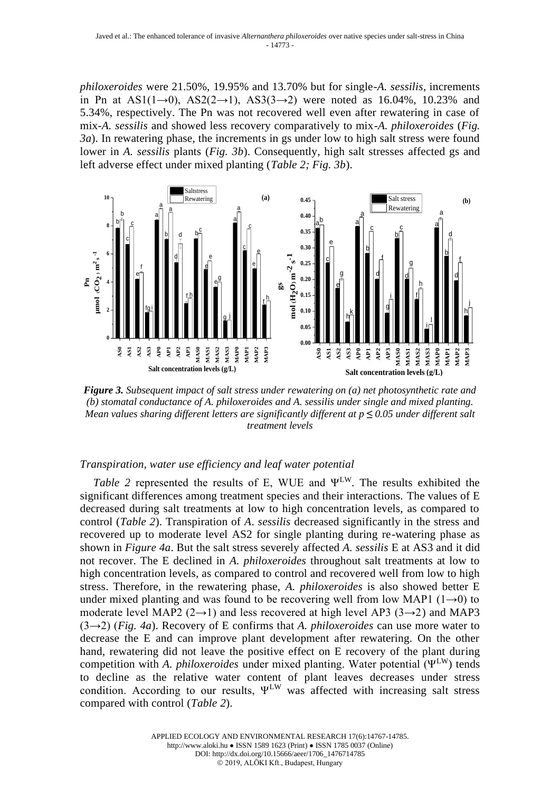*philoxeroides* were 21.50%, 19.95% and 13.70% but for single-*A. sessilis*, increments in Pn at AS1(1→0), AS2(2→1), AS3(3→2) were noted as 16.04%, 10.23% and 5.34%, respectively. The Pn was not recovered well even after rewatering in case of mix-*A. sessilis* and showed less recovery comparatively to mix-*A. philoxeroides* (*Fig. 3a*). In rewatering phase, the increments in gs under low to high salt stress were found lower in *A. sessilis* plants (*Fig. 3b*). Consequently, high salt stresses affected gs and left adverse effect under mixed planting (*Table 2; Fig. 3b*).



*Figure 3. Subsequent impact of salt stress under rewatering on (a) net photosynthetic rate and (b) stomatal conductance of A. philoxeroides and A. sessilis under single and mixed planting. Mean values sharing different letters are significantly different at p ≤ 0.05 under different salt treatment levels*

## *Transpiration, water use efficiency and leaf water potential*

*Table 2* represented the results of E, WUE and ΨLW. The results exhibited the significant differences among treatment species and their interactions. The values of E decreased during salt treatments at low to high concentration levels, as compared to control (*Table 2*). Transpiration of *A*. *sessilis* decreased significantly in the stress and recovered up to moderate level AS2 for single planting during re-watering phase as shown in *Figure 4a*. But the salt stress severely affected *A. sessilis* E at AS3 and it did not recover. The E declined in *A. philoxeroides* throughout salt treatments at low to high concentration levels, as compared to control and recovered well from low to high stress. Therefore, in the rewatering phase, *A. philoxeroides* is also showed better E under mixed planting and was found to be recovering well from low MAP1 ( $1\rightarrow 0$ ) to moderate level MAP2 (2→1) and less recovered at high level AP3 (3→2) and MAP3 (3→2) (*Fig. 4a*). Recovery of E confirms that *A. philoxeroides* can use more water to decrease the E and can improve plant development after rewatering. On the other hand, rewatering did not leave the positive effect on E recovery of the plant during competition with *A. philoxeroides* under mixed planting. Water potential (ΨLW) tends to decline as the relative water content of plant leaves decreases under stress condition. According to our results,  $\Psi^{\text{LW}}$  was affected with increasing salt stress compared with control (*Table 2*).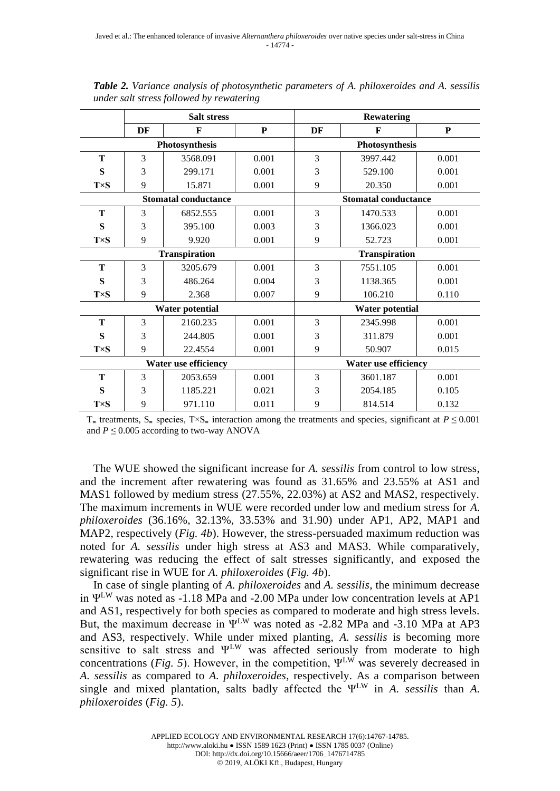|                             | <b>Salt stress</b> |          |       | <b>Rewatering</b>           |                |       |  |
|-----------------------------|--------------------|----------|-------|-----------------------------|----------------|-------|--|
|                             | DF                 | F        | P     | DF                          | F              | P     |  |
|                             | Photosynthesis     |          |       |                             | Photosynthesis |       |  |
| Т                           | 3                  | 3568.091 | 0.001 | 3                           | 3997.442       | 0.001 |  |
| S                           | 3                  | 299.171  | 0.001 | 3                           | 529.100        | 0.001 |  |
| $T\times S$                 | 9                  | 15.871   | 0.001 | 9                           | 20.350         | 0.001 |  |
| <b>Stomatal conductance</b> |                    |          |       | <b>Stomatal conductance</b> |                |       |  |
| T                           | 3                  | 6852.555 | 0.001 | 3                           | 1470.533       | 0.001 |  |
| S                           | 3                  | 395.100  | 0.003 | 3                           | 1366.023       | 0.001 |  |
| $T\times S$                 | 9                  | 9.920    | 0.001 | 9                           | 52.723         | 0.001 |  |
| <b>Transpiration</b>        |                    |          |       | <b>Transpiration</b>        |                |       |  |
| Т                           | 3                  | 3205.679 | 0.001 | 3                           | 7551.105       | 0.001 |  |
| S                           | 3                  | 486.264  | 0.004 | 3                           | 1138.365       | 0.001 |  |
| $T\times S$                 | 9                  | 2.368    | 0.007 | 9                           | 106.210        | 0.110 |  |
| <b>Water potential</b>      |                    |          |       | <b>Water potential</b>      |                |       |  |
| T                           | 3                  | 2160.235 | 0.001 | 3                           | 2345.998       | 0.001 |  |
| S                           | 3                  | 244.805  | 0.001 | 3                           | 311.879        | 0.001 |  |
| $T\times S$                 | 9                  | 22.4554  | 0.001 | 9                           | 50.907         | 0.015 |  |
| <b>Water use efficiency</b> |                    |          |       | <b>Water use efficiency</b> |                |       |  |
| Т                           | 3                  | 2053.659 | 0.001 | 3                           | 3601.187       | 0.001 |  |
| S                           | 3                  | 1185.221 | 0.021 | 3                           | 2054.185       | 0.105 |  |
| $T\times S$                 | 9                  | 971.110  | 0.011 | 9                           | 814.514        | 0.132 |  |

*Table 2. Variance analysis of photosynthetic parameters of A. philoxeroides and A. sessilis under salt stress followed by rewatering*

T<sub>=</sub> treatments, S<sub>=</sub> species, T $\times$ S<sub>=</sub> interaction among the treatments and species, significant at *P* ≤ 0.001 and  $P \leq 0.005$  according to two-way ANOVA

The WUE showed the significant increase for *A. sessilis* from control to low stress, and the increment after rewatering was found as 31.65% and 23.55% at AS1 and MAS1 followed by medium stress (27.55%, 22.03%) at AS2 and MAS2, respectively. The maximum increments in WUE were recorded under low and medium stress for *A. philoxeroides* (36.16%, 32.13%, 33.53% and 31.90) under AP1, AP2, MAP1 and MAP2, respectively (*Fig. 4b*). However, the stress-persuaded maximum reduction was noted for *A. sessilis* under high stress at AS3 and MAS3. While comparatively, rewatering was reducing the effect of salt stresses significantly, and exposed the significant rise in WUE for *A. philoxeroides* (*Fig. 4b*).

In case of single planting of *A. philoxeroides* and *A. sessilis*, the minimum decrease in  $\Psi^{LW}$  was noted as -1.18 MPa and -2.00 MPa under low concentration levels at AP1 and AS1, respectively for both species as compared to moderate and high stress levels. But, the maximum decrease in  $\Psi^{LW}$  was noted as -2.82 MPa and -3.10 MPa at AP3 and AS3, respectively. While under mixed planting, *A. sessilis* is becoming more sensitive to salt stress and ΨLW was affected seriously from moderate to high concentrations (*Fig. 5*). However, in the competition,  $\Psi^{\text{LW}}$  was severely decreased in *A. sessilis* as compared to *A. philoxeroides*, respectively. As a comparison between single and mixed plantation, salts badly affected the ΨLW in *A. sessilis* than *A. philoxeroides* (*Fig. 5*).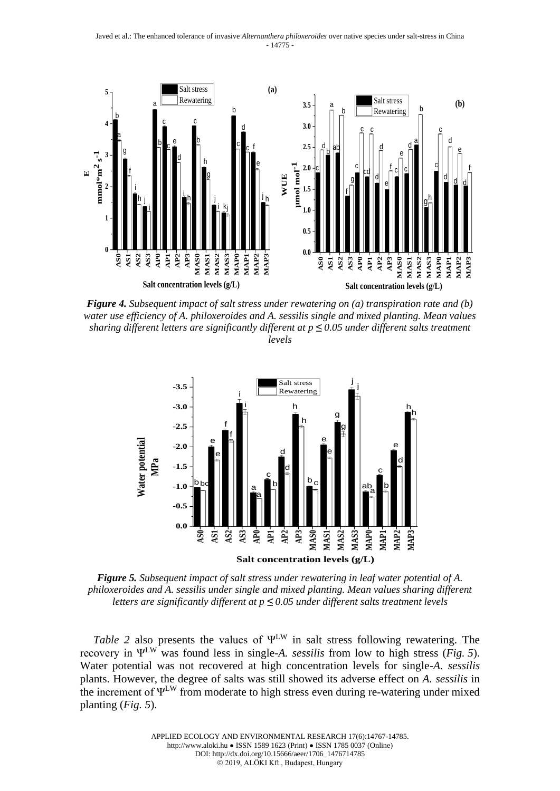

*Figure 4. Subsequent impact of salt stress under rewatering on (a) transpiration rate and (b) water use efficiency of A. philoxeroides and A. sessilis single and mixed planting. Mean values sharing different letters are significantly different at p ≤ 0.05 under different salts treatment levels*



*Figure 5. Subsequent impact of salt stress under rewatering in leaf water potential of A. philoxeroides and A. sessilis under single and mixed planting. Mean values sharing different letters are significantly different at p ≤ 0.05 under different salts treatment levels*

*Table 2* also presents the values of ΨLW in salt stress following rewatering. The recovery in ΨLW was found less in single-*A. sessilis* from low to high stress (*Fig. 5*). Water potential was not recovered at high concentration levels for single-*A. sessilis* plants. However, the degree of salts was still showed its adverse effect on *A. sessilis* in the increment of  $\Psi^{LW}$  from moderate to high stress even during re-watering under mixed planting (*Fig. 5*).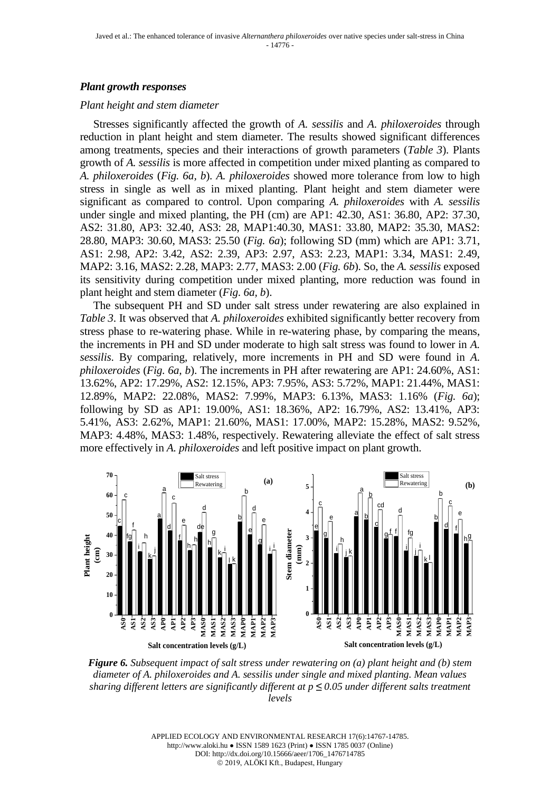### *Plant growth responses*

#### *Plant height and stem diameter*

Stresses significantly affected the growth of *A. sessilis* and *A. philoxeroides* through reduction in plant height and stem diameter. The results showed significant differences among treatments, species and their interactions of growth parameters (*Table 3*). Plants growth of *A. sessilis* is more affected in competition under mixed planting as compared to *A. philoxeroides* (*Fig. 6a, b*). *A. philoxeroides* showed more tolerance from low to high stress in single as well as in mixed planting. Plant height and stem diameter were significant as compared to control. Upon comparing *A. philoxeroides* with *A. sessilis* under single and mixed planting, the PH (cm) are AP1: 42.30, AS1: 36.80, AP2: 37.30, AS2: 31.80, AP3: 32.40, AS3: 28, MAP1:40.30, MAS1: 33.80, MAP2: 35.30, MAS2: 28.80, MAP3: 30.60, MAS3: 25.50 (*Fig. 6a*); following SD (mm) which are AP1: 3.71, AS1: 2.98, AP2: 3.42, AS2: 2.39, AP3: 2.97, AS3: 2.23, MAP1: 3.34, MAS1: 2.49, MAP2: 3.16, MAS2: 2.28, MAP3: 2.77, MAS3: 2.00 (*Fig. 6b*). So, the *A. sessilis* exposed its sensitivity during competition under mixed planting, more reduction was found in plant height and stem diameter (*Fig. 6a, b*).

The subsequent PH and SD under salt stress under rewatering are also explained in *Table 3*. It was observed that *A. philoxeroides* exhibited significantly better recovery from stress phase to re-watering phase. While in re-watering phase, by comparing the means, the increments in PH and SD under moderate to high salt stress was found to lower in *A. sessilis*. By comparing, relatively, more increments in PH and SD were found in *A. philoxeroides* (*Fig. 6a, b*). The increments in PH after rewatering are AP1: 24.60%, AS1: 13.62%, AP2: 17.29%, AS2: 12.15%, AP3: 7.95%, AS3: 5.72%, MAP1: 21.44%, MAS1: 12.89%, MAP2: 22.08%, MAS2: 7.99%, MAP3: 6.13%, MAS3: 1.16% (*Fig. 6a*); following by SD as AP1: 19.00%, AS1: 18.36%, AP2: 16.79%, AS2: 13.41%, AP3: 5.41%, AS3: 2.62%, MAP1: 21.60%, MAS1: 17.00%, MAP2: 15.28%, MAS2: 9.52%, MAP3: 4.48%, MAS3: 1.48%, respectively. Rewatering alleviate the effect of salt stress more effectively in *A. philoxeroides* and left positive impact on plant growth.



*Figure 6. Subsequent impact of salt stress under rewatering on (a) plant height and (b) stem diameter of A. philoxeroides and A. sessilis under single and mixed planting. Mean values sharing different letters are significantly different at p ≤ 0.05 under different salts treatment levels*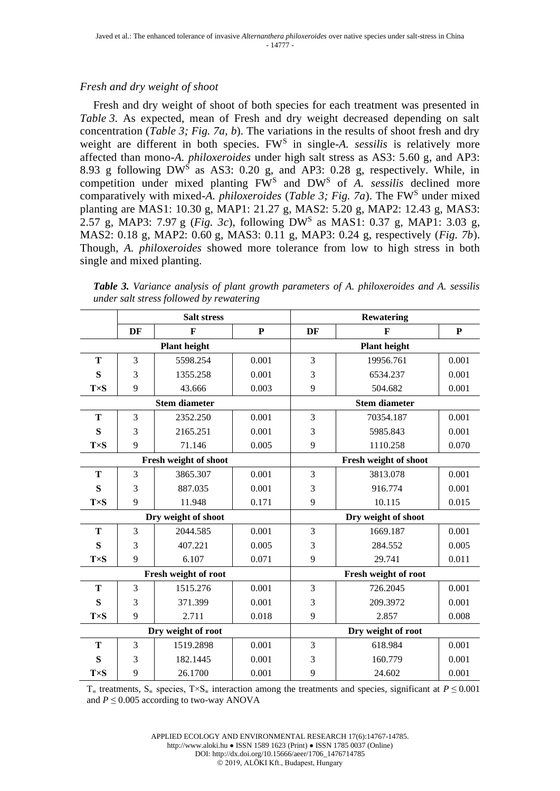## *Fresh and dry weight of shoot*

Fresh and dry weight of shoot of both species for each treatment was presented in *Table 3*. As expected, mean of Fresh and dry weight decreased depending on salt concentration (*Table 3; Fig. 7a, b*). The variations in the results of shoot fresh and dry weight are different in both species. FW<sup>S</sup> in single-A. sessilis is relatively more affected than mono-*A. philoxeroides* under high salt stress as AS3: 5.60 g, and AP3: 8.93 g following DW<sup>S</sup> as AS3: 0.20 g, and AP3: 0.28 g, respectively. While, in competition under mixed planting FW<sup>S</sup> and DW<sup>S</sup> of *A. sessilis* declined more comparatively with mixed-*A. philoxeroides* (*Table 3; Fig. 7a*). The FW<sup>S</sup> under mixed planting are MAS1: 10.30 g, MAP1: 21.27 g, MAS2: 5.20 g, MAP2: 12.43 g, MAS3: 2.57 g, MAP3: 7.97 g (*Fig. 3c*), following DW<sup>S</sup> as MAS1: 0.37 g, MAP1: 3.03 g, MAS2: 0.18 g, MAP2: 0.60 g, MAS3: 0.11 g, MAP3: 0.24 g, respectively (*Fig. 7b*). Though, *A. philoxeroides* showed more tolerance from low to high stress in both single and mixed planting.

*Table 3. Variance analysis of plant growth parameters of A. philoxeroides and A. sessilis under salt stress followed by rewatering*

|                       | <b>Salt stress</b> |              |           | <b>Rewatering</b>     |           |           |  |
|-----------------------|--------------------|--------------|-----------|-----------------------|-----------|-----------|--|
|                       | DF                 | $\mathbf{F}$ | ${\bf P}$ | DF                    | F         | ${\bf P}$ |  |
| <b>Plant height</b>   |                    |              |           | <b>Plant height</b>   |           |           |  |
| T                     | 3                  | 5598.254     | 0.001     | 3                     | 19956.761 | 0.001     |  |
| S                     | 3                  | 1355.258     | 0.001     | 3                     | 6534.237  | 0.001     |  |
| $T\times S$           | 9                  | 43.666       | 0.003     | 9                     | 504.682   | 0.001     |  |
| <b>Stem diameter</b>  |                    |              |           | <b>Stem diameter</b>  |           |           |  |
| T                     | 3                  | 2352.250     | 0.001     | 3                     | 70354.187 | 0.001     |  |
| S                     | 3                  | 2165.251     | 0.001     | 3                     | 5985.843  | 0.001     |  |
| $T\times S$           | 9                  | 71.146       | 0.005     | 9                     | 1110.258  | 0.070     |  |
| Fresh weight of shoot |                    |              |           | Fresh weight of shoot |           |           |  |
| T                     | 3                  | 3865.307     | 0.001     | 3                     | 3813.078  | 0.001     |  |
| S                     | 3                  | 887.035      | 0.001     | 3                     | 916.774   | 0.001     |  |
| $T\times S$           | 9                  | 11.948       | 0.171     | 9                     | 10.115    | 0.015     |  |
| Dry weight of shoot   |                    |              |           | Dry weight of shoot   |           |           |  |
| T                     | 3                  | 2044.585     | 0.001     | 3                     | 1669.187  | 0.001     |  |
| S                     | 3                  | 407.221      | 0.005     | 3                     | 284.552   | 0.005     |  |
| $T\times S$           | 9                  | 6.107        | 0.071     | 9                     | 29.741    | 0.011     |  |
| Fresh weight of root  |                    |              |           | Fresh weight of root  |           |           |  |
| T                     | $\overline{3}$     | 1515.276     | 0.001     | 3                     | 726.2045  | 0.001     |  |
| S                     | 3                  | 371.399      | 0.001     | 3                     | 209.3972  | 0.001     |  |
| $T\times S$           | 9                  | 2.711        | 0.018     | 9                     | 2.857     | 0.008     |  |
| Dry weight of root    |                    |              |           | Dry weight of root    |           |           |  |
| T                     | 3                  | 1519.2898    | 0.001     | 3                     | 618.984   | 0.001     |  |
| S                     | 3                  | 182.1445     | 0.001     | 3                     | 160.779   | 0.001     |  |
| $T\times S$           | 9                  | 26.1700      | 0.001     | 9                     | 24.602    | 0.001     |  |

T<sub>=</sub> treatments,  $S$ <sub>=</sub> species, T×S<sub>=</sub> interaction among the treatments and species, significant at  $P \le 0.001$ and  $P \leq 0.005$  according to two-way ANOVA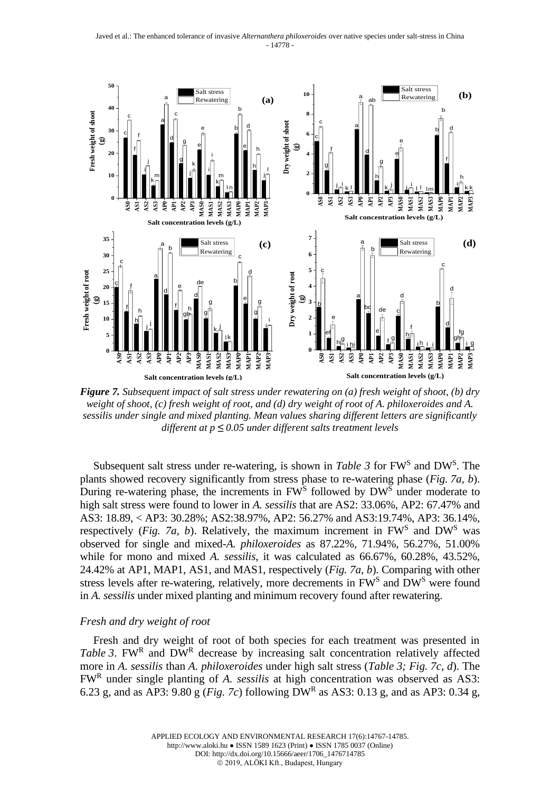

*Figure 7. Subsequent impact of salt stress under rewatering on (a) fresh weight of shoot, (b) dry weight of shoot, (c) fresh weight of root, and (d) dry weight of root of A. philoxeroides and A. sessilis under single and mixed planting. Mean values sharing different letters are significantly different at p ≤ 0.05 under different salts treatment levels*

Subsequent salt stress under re-watering, is shown in *Table 3* for FW<sup>S</sup> and DW<sup>S</sup>. The plants showed recovery significantly from stress phase to re-watering phase (*Fig. 7a, b*). During re-watering phase, the increments in FW<sup>S</sup> followed by DW<sup>S</sup> under moderate to high salt stress were found to lower in *A. sessilis* that are AS2: 33.06%, AP2: 67.47% and AS3: 18.89, < AP3: 30.28%; AS2:38.97%, AP2: 56.27% and AS3:19.74%, AP3: 36.14%, respectively (*Fig. 7a, b*). Relatively, the maximum increment in  $FW^s$  and  $DW^s$  was observed for single and mixed-*A. philoxeroides* as 87.22%, 71.94%, 56.27%, 51.00% while for mono and mixed *A. sessilis*, it was calculated as 66.67%, 60.28%, 43.52%, 24.42% at AP1, MAP1, AS1, and MAS1, respectively (*Fig. 7a, b*). Comparing with other stress levels after re-watering, relatively, more decrements in FW<sup>S</sup> and DW<sup>S</sup> were found in *A. sessilis* under mixed planting and minimum recovery found after rewatering.

#### *Fresh and dry weight of root*

Fresh and dry weight of root of both species for each treatment was presented in Table 3. FWR and DWR decrease by increasing salt concentration relatively affected more in *A. sessilis* than *A. philoxeroides* under high salt stress (*Table 3; Fig. 7c, d*). The FW<sup>R</sup> under single planting of *A. sessilis* at high concentration was observed as AS3: 6.23 g, and as AP3: 9.80 g (*Fig. 7c*) following DW<sup>R</sup> as AS3: 0.13 g, and as AP3: 0.34 g,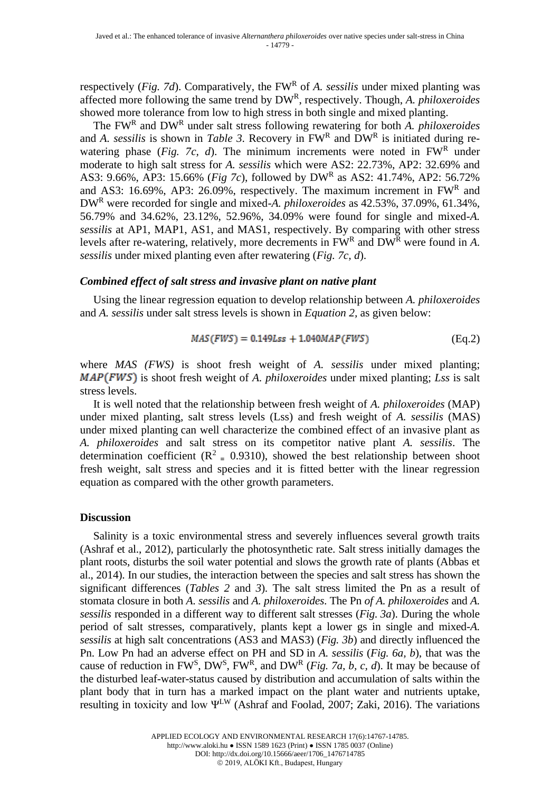respectively (*Fig. 7d*). Comparatively, the FW<sup>R</sup> of *A. sessilis* under mixed planting was affected more following the same trend by DW<sup>R</sup> , respectively. Though, *A. philoxeroides*  showed more tolerance from low to high stress in both single and mixed planting.

The FW<sup>R</sup> and DW<sup>R</sup> under salt stress following rewatering for both *A. philoxeroides*  and *A. sessilis* is shown in *Table 3*. Recovery in  $FW<sup>R</sup>$  and  $DW<sup>R</sup>$  is initiated during rewatering phase (*Fig. 7c, d*). The minimum increments were noted in  $FW<sup>R</sup>$  under moderate to high salt stress for *A. sessilis* which were AS2: 22.73%, AP2: 32.69% and AS3: 9.66%, AP3: 15.66% (*Fig 7c*), followed by DW<sup>R</sup> as AS2: 41.74%, AP2: 56.72% and AS3: 16.69%, AP3: 26.09%, respectively. The maximum increment in  $FW<sup>R</sup>$  and DW<sup>R</sup> were recorded for single and mixed-*A. philoxeroides* as 42.53%, 37.09%, 61.34%, 56.79% and 34.62%, 23.12%, 52.96%, 34.09% were found for single and mixed-*A. sessilis* at AP1, MAP1, AS1, and MAS1, respectively. By comparing with other stress levels after re-watering, relatively, more decrements in FW<sup>R</sup> and DW<sup>R</sup> were found in A. *sessilis* under mixed planting even after rewatering (*Fig. 7c, d*).

### *Combined effect of salt stress and invasive plant on native plant*

Using the linear regression equation to develop relationship between *A. philoxeroides* and *A. sessilis* under salt stress levels is shown in *Equation 2,* as given below:

$$
MAS(FWS) = 0.149Lss + 1.040MAP(FWS)
$$
 (Eq.2)

where *MAS (FWS)* is shoot fresh weight of *A. sessilis* under mixed planting; MAP(FWS) is shoot fresh weight of *A. philoxeroides* under mixed planting; *Lss* is salt stress levels.

It is well noted that the relationship between fresh weight of *A. philoxeroides* (MAP) under mixed planting, salt stress levels (Lss) and fresh weight of *A. sessilis* (MAS) under mixed planting can well characterize the combined effect of an invasive plant as *A. philoxeroides* and salt stress on its competitor native plant *A. sessilis*. The determination coefficient ( $\mathbb{R}^2 = 0.9310$ ), showed the best relationship between shoot fresh weight, salt stress and species and it is fitted better with the linear regression equation as compared with the other growth parameters.

#### **Discussion**

Salinity is a toxic environmental stress and severely influences several growth traits (Ashraf et al., 2012), particularly the photosynthetic rate. Salt stress initially damages the plant roots, disturbs the soil water potential and slows the growth rate of plants (Abbas et al., 2014). In our studies, the interaction between the species and salt stress has shown the significant differences (*Tables 2* and *3*). The salt stress limited the Pn as a result of stomata closure in both *A. sessilis* and *A. philoxeroides*. The Pn *of A. philoxeroides* and *A. sessilis* responded in a different way to different salt stresses (*Fig. 3a*). During the whole period of salt stresses, comparatively, plants kept a lower gs in single and mixed-*A. sessilis* at high salt concentrations (AS3 and MAS3) (*Fig. 3b*) and directly influenced the Pn. Low Pn had an adverse effect on PH and SD in *A. sessilis* (*Fig. 6a, b*), that was the cause of reduction in FW<sup>S</sup>, DW<sup>S</sup>, FW<sup>R</sup>, and DW<sup>R</sup> (*Fig. 7a, b, c, d*). It may be because of the disturbed leaf-water-status caused by distribution and accumulation of salts within the plant body that in turn has a marked impact on the plant water and nutrients uptake, resulting in toxicity and low ΨLW (Ashraf and Foolad, 2007; Zaki, 2016). The variations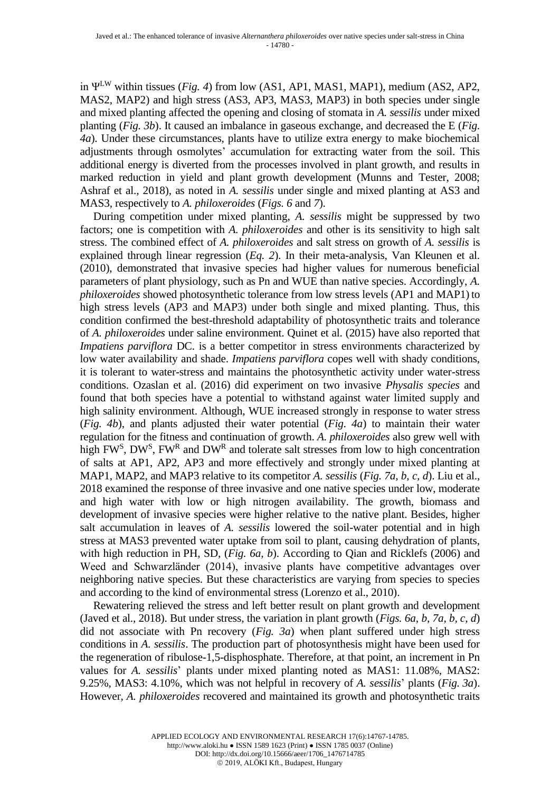in ΨLW within tissues (*Fig. 4*) from low (AS1, AP1, MAS1, MAP1), medium (AS2, AP2, MAS2, MAP2) and high stress (AS3, AP3, MAS3, MAP3) in both species under single and mixed planting affected the opening and closing of stomata in *A. sessilis* under mixed planting (*Fig. 3b*). It caused an imbalance in gaseous exchange, and decreased the E (*Fig. 4a*). Under these circumstances, plants have to utilize extra energy to make biochemical adjustments through osmolytes' accumulation for extracting water from the soil. This additional energy is diverted from the processes involved in plant growth, and results in marked reduction in yield and plant growth development (Munns and Tester, 2008; Ashraf et al., 2018), as noted in *A. sessilis* under single and mixed planting at AS3 and MAS3, respectively to *A. philoxeroides* (*Figs. 6* and *7*).

During competition under mixed planting, *A. sessilis* might be suppressed by two factors; one is competition with *A. philoxeroides* and other is its sensitivity to high salt stress. The combined effect of *A. philoxeroides* and salt stress on growth of *A. sessilis* is explained through linear regression (*Eq. 2*). In their meta-analysis, Van Kleunen et al. (2010), demonstrated that invasive species had higher values for numerous beneficial parameters of plant physiology, such as Pn and WUE than native species. Accordingly, *A. philoxeroides* showed photosynthetic tolerance from low stress levels (AP1 and MAP1) to high stress levels (AP3 and MAP3) under both single and mixed planting. Thus, this condition confirmed the best-threshold adaptability of photosynthetic traits and tolerance of *A. philoxeroides* under saline environment. Quinet et al. (2015) have also reported that *Impatiens parviflora* DC. is a better competitor in stress environments characterized by low water availability and shade. *Impatiens parviflora* copes well with shady conditions, it is tolerant to water-stress and maintains the photosynthetic activity under water-stress conditions. Ozaslan et al. (2016) did experiment on two invasive *Physalis species* and found that both species have a potential to withstand against water limited supply and high salinity environment. Although, WUE increased strongly in response to water stress (*Fig. 4b*), and plants adjusted their water potential (*Fig. 4a*) to maintain their water regulation for the fitness and continuation of growth. *A. philoxeroides* also grew well with high FW<sup>S</sup>, DW<sup>S</sup>, FW<sup>R</sup> and DW<sup>R</sup> and tolerate salt stresses from low to high concentration of salts at AP1, AP2, AP3 and more effectively and strongly under mixed planting at MAP1, MAP2, and MAP3 relative to its competitor *A. sessilis* (*Fig. 7a, b, c, d*). Liu et al., 2018 examined the response of three invasive and one native species under low, moderate and high water with low or high nitrogen availability. The growth, biomass and development of invasive species were higher relative to the native plant. Besides, higher salt accumulation in leaves of *A. sessilis* lowered the soil-water potential and in high stress at MAS3 prevented water uptake from soil to plant, causing dehydration of plants, with high reduction in PH, SD, (*Fig. 6a, b*). According to Qian and Ricklefs (2006) and Weed and Schwarzländer (2014), invasive plants have competitive advantages over neighboring native species. But these characteristics are varying from species to species and according to the kind of environmental stress (Lorenzo et al., 2010).

Rewatering relieved the stress and left better result on plant growth and development (Javed et al., 2018). But under stress, the variation in plant growth (*Figs. 6a, b, 7a, b, c, d*) did not associate with Pn recovery (*Fig. 3a*) when plant suffered under high stress conditions in *A. sessilis*. The production part of photosynthesis might have been used for the regeneration of ribulose-1,5-disphosphate. Therefore, at that point, an increment in Pn values for *A. sessilis*' plants under mixed planting noted as MAS1: 11.08%, MAS2: 9.25%, MAS3: 4.10%, which was not helpful in recovery of *A. sessilis*' plants (*Fig. 3a*). However, *A. philoxeroides* recovered and maintained its growth and photosynthetic traits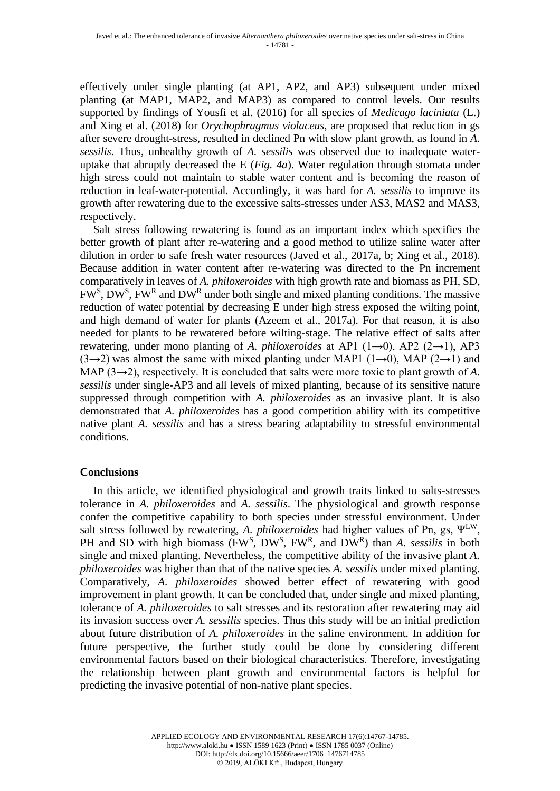effectively under single planting (at AP1, AP2, and AP3) subsequent under mixed planting (at MAP1, MAP2, and MAP3) as compared to control levels. Our results supported by findings of Yousfi et al. (2016) for all species of *Medicago laciniata* (L.) and Xing et al. (2018) for *Orychophragmus violaceus*, are proposed that reduction in gs after severe drought-stress, resulted in declined Pn with slow plant growth, as found in *A. sessilis*. Thus, unhealthy growth of *A. sessilis* was observed due to inadequate wateruptake that abruptly decreased the E (*Fig. 4a*). Water regulation through stomata under high stress could not maintain to stable water content and is becoming the reason of reduction in leaf-water-potential. Accordingly, it was hard for *A. sessilis* to improve its growth after rewatering due to the excessive salts-stresses under AS3, MAS2 and MAS3, respectively.

Salt stress following rewatering is found as an important index which specifies the better growth of plant after re-watering and a good method to utilize saline water after dilution in order to safe fresh water resources (Javed et al., 2017a, b; Xing et al., 2018). Because addition in water content after re-watering was directed to the Pn increment comparatively in leaves of *A. philoxeroides* with high growth rate and biomass as PH, SD,  $FW^S$ , DW<sup>S</sup>, FW<sup>R</sup> and DW<sup>R</sup> under both single and mixed planting conditions. The massive reduction of water potential by decreasing E under high stress exposed the wilting point, and high demand of water for plants (Azeem et al., 2017a). For that reason, it is also needed for plants to be rewatered before wilting-stage. The relative effect of salts after rewatering, under mono planting of *A. philoxeroides* at AP1 (1→0), AP2 (2→1), AP3  $(3\rightarrow 2)$  was almost the same with mixed planting under MAP1  $(1\rightarrow 0)$ , MAP  $(2\rightarrow 1)$  and MAP (3→2), respectively. It is concluded that salts were more toxic to plant growth of *A. sessilis* under single-AP3 and all levels of mixed planting, because of its sensitive nature suppressed through competition with *A. philoxeroides* as an invasive plant. It is also demonstrated that *A. philoxeroides* has a good competition ability with its competitive native plant *A. sessilis* and has a stress bearing adaptability to stressful environmental conditions.

## **Conclusions**

In this article, we identified physiological and growth traits linked to salts-stresses tolerance in *A. philoxeroides* and *A. sessilis*. The physiological and growth response confer the competitive capability to both species under stressful environment. Under salt stress followed by rewatering, *A. philoxeroides* had higher values of Pn, gs, ΨLW, PH and SD with high biomass (FW<sup>S</sup>, DW<sup>S</sup>, FW<sup>R</sup>, and DW<sup>R</sup>) than *A. sessilis* in both single and mixed planting. Nevertheless, the competitive ability of the invasive plant *A. philoxeroides* was higher than that of the native species *A. sessilis* under mixed planting. Comparatively, *A. philoxeroides* showed better effect of rewatering with good improvement in plant growth. It can be concluded that, under single and mixed planting, tolerance of *A. philoxeroides* to salt stresses and its restoration after rewatering may aid its invasion success over *A. sessilis* species. Thus this study will be an initial prediction about future distribution of *A. philoxeroides* in the saline environment. In addition for future perspective, the further study could be done by considering different environmental factors based on their biological characteristics. Therefore, investigating the relationship between plant growth and environmental factors is helpful for predicting the invasive potential of non-native plant species.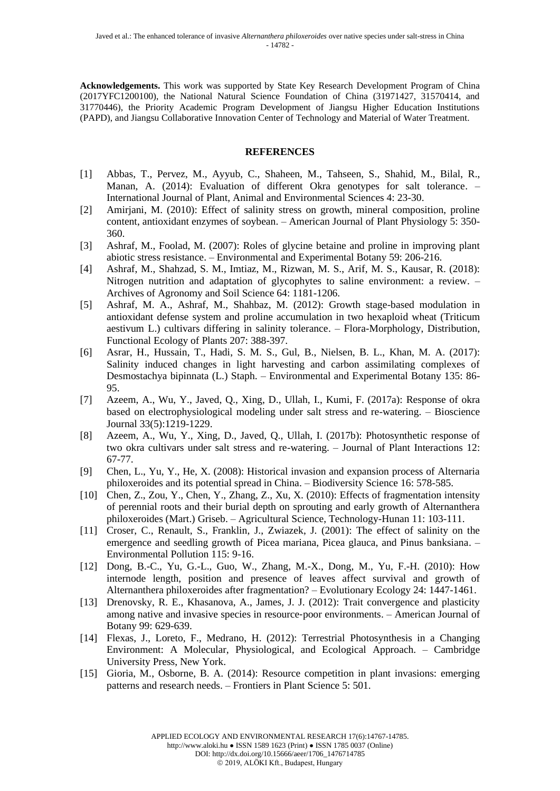**Acknowledgements.** This work was supported by State Key Research Development Program of China (2017YFC1200100), the National Natural Science Foundation of China (31971427, 31570414, and 31770446), the Priority Academic Program Development of Jiangsu Higher Education Institutions (PAPD), and Jiangsu Collaborative Innovation Center of Technology and Material of Water Treatment.

#### **REFERENCES**

- [1] Abbas, T., Pervez, M., Ayyub, C., Shaheen, M., Tahseen, S., Shahid, M., Bilal, R., Manan, A. (2014): Evaluation of different Okra genotypes for salt tolerance. – International Journal of Plant, Animal and Environmental Sciences 4: 23-30.
- [2] Amirjani, M. (2010): Effect of salinity stress on growth, mineral composition, proline content, antioxidant enzymes of soybean. – American Journal of Plant Physiology 5: 350- 360.
- [3] Ashraf, M., Foolad, M. (2007): Roles of glycine betaine and proline in improving plant abiotic stress resistance. – Environmental and Experimental Botany 59: 206-216.
- [4] Ashraf, M., Shahzad, S. M., Imtiaz, M., Rizwan, M. S., Arif, M. S., Kausar, R. (2018): Nitrogen nutrition and adaptation of glycophytes to saline environment: a review. – Archives of Agronomy and Soil Science 64: 1181-1206.
- [5] Ashraf, M. A., Ashraf, M., Shahbaz, M. (2012): Growth stage-based modulation in antioxidant defense system and proline accumulation in two hexaploid wheat (Triticum aestivum L.) cultivars differing in salinity tolerance. – Flora-Morphology, Distribution, Functional Ecology of Plants 207: 388-397.
- [6] Asrar, H., Hussain, T., Hadi, S. M. S., Gul, B., Nielsen, B. L., Khan, M. A. (2017): Salinity induced changes in light harvesting and carbon assimilating complexes of Desmostachya bipinnata (L.) Staph. – Environmental and Experimental Botany 135: 86- 95.
- [7] Azeem, A., Wu, Y., Javed, Q., Xing, D., Ullah, I., Kumi, F. (2017a): Response of okra based on electrophysiological modeling under salt stress and re-watering. – Bioscience Journal 33(5):1219-1229.
- [8] Azeem, A., Wu, Y., Xing, D., Javed, Q., Ullah, I. (2017b): Photosynthetic response of two okra cultivars under salt stress and re-watering. – Journal of Plant Interactions 12: 67-77.
- [9] Chen, L., Yu, Y., He, X. (2008): Historical invasion and expansion process of Alternaria philoxeroides and its potential spread in China. – Biodiversity Science 16: 578-585.
- [10] Chen, Z., Zou, Y., Chen, Y., Zhang, Z., Xu, X. (2010): Effects of fragmentation intensity of perennial roots and their burial depth on sprouting and early growth of Alternanthera philoxeroides (Mart.) Griseb. – Agricultural Science, Technology-Hunan 11: 103-111.
- [11] Croser, C., Renault, S., Franklin, J., Zwiazek, J. (2001): The effect of salinity on the emergence and seedling growth of Picea mariana, Picea glauca, and Pinus banksiana. – Environmental Pollution 115: 9-16.
- [12] Dong, B.-C., Yu, G.-L., Guo, W., Zhang, M.-X., Dong, M., Yu, F.-H. (2010): How internode length, position and presence of leaves affect survival and growth of Alternanthera philoxeroides after fragmentation? – Evolutionary Ecology 24: 1447-1461.
- [13] Drenovsky, R. E., Khasanova, A., James, J. J. (2012): Trait convergence and plasticity among native and invasive species in resource‐poor environments. – American Journal of Botany 99: 629-639.
- [14] Flexas, J., Loreto, F., Medrano, H. (2012): Terrestrial Photosynthesis in a Changing Environment: A Molecular, Physiological, and Ecological Approach. – Cambridge University Press, New York.
- [15] Gioria, M., Osborne, B. A. (2014): Resource competition in plant invasions: emerging patterns and research needs. – Frontiers in Plant Science 5: 501.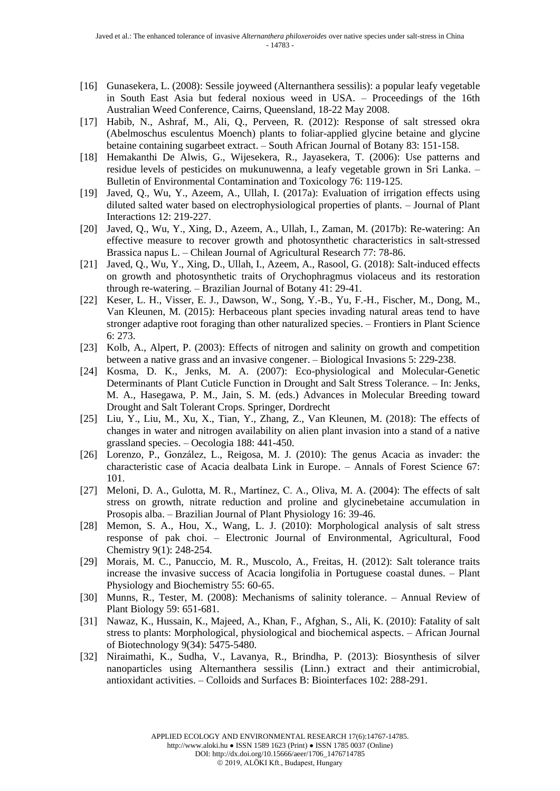- [16] Gunasekera, L. (2008): Sessile joyweed (Alternanthera sessilis): a popular leafy vegetable in South East Asia but federal noxious weed in USA. – Proceedings of the 16th Australian Weed Conference, Cairns, Queensland, 18-22 May 2008.
- [17] Habib, N., Ashraf, M., Ali, Q., Perveen, R. (2012): Response of salt stressed okra (Abelmoschus esculentus Moench) plants to foliar-applied glycine betaine and glycine betaine containing sugarbeet extract. – South African Journal of Botany 83: 151-158.
- [18] Hemakanthi De Alwis, G., Wijesekera, R., Jayasekera, T. (2006): Use patterns and residue levels of pesticides on mukunuwenna, a leafy vegetable grown in Sri Lanka. – Bulletin of Environmental Contamination and Toxicology 76: 119-125.
- [19] Javed, Q., Wu, Y., Azeem, A., Ullah, I. (2017a): Evaluation of irrigation effects using diluted salted water based on electrophysiological properties of plants. – Journal of Plant Interactions 12: 219-227.
- [20] Javed, Q., Wu, Y., Xing, D., Azeem, A., Ullah, I., Zaman, M. (2017b): Re-watering: An effective measure to recover growth and photosynthetic characteristics in salt-stressed Brassica napus L. – Chilean Journal of Agricultural Research 77: 78-86.
- [21] Javed, Q., Wu, Y., Xing, D., Ullah, I., Azeem, A., Rasool, G. (2018): Salt-induced effects on growth and photosynthetic traits of Orychophragmus violaceus and its restoration through re-watering. – Brazilian Journal of Botany 41: 29-41.
- [22] Keser, L. H., Visser, E. J., Dawson, W., Song, Y.-B., Yu, F.-H., Fischer, M., Dong, M., Van Kleunen, M. (2015): Herbaceous plant species invading natural areas tend to have stronger adaptive root foraging than other naturalized species. – Frontiers in Plant Science 6: 273.
- [23] Kolb, A., Alpert, P. (2003): Effects of nitrogen and salinity on growth and competition between a native grass and an invasive congener. – Biological Invasions 5: 229-238.
- [24] Kosma, D. K., Jenks, M. A. (2007): Eco-physiological and Molecular-Genetic Determinants of Plant Cuticle Function in Drought and Salt Stress Tolerance. – In: Jenks, M. A., Hasegawa, P. M., Jain, S. M. (eds.) Advances in Molecular Breeding toward Drought and Salt Tolerant Crops. Springer, Dordrecht
- [25] Liu, Y., Liu, M., Xu, X., Tian, Y., Zhang, Z., Van Kleunen, M. (2018): The effects of changes in water and nitrogen availability on alien plant invasion into a stand of a native grassland species. – Oecologia 188: 441-450.
- [26] Lorenzo, P., González, L., Reigosa, M. J. (2010): The genus Acacia as invader: the characteristic case of Acacia dealbata Link in Europe. – Annals of Forest Science 67: 101.
- [27] Meloni, D. A., Gulotta, M. R., Martínez, C. A., Oliva, M. A. (2004): The effects of salt stress on growth, nitrate reduction and proline and glycinebetaine accumulation in Prosopis alba. – Brazilian Journal of Plant Physiology 16: 39-46.
- [28] Memon, S. A., Hou, X., Wang, L. J. (2010): Morphological analysis of salt stress response of pak choi. – Electronic Journal of Environmental, Agricultural, Food Chemistry 9(1): 248-254.
- [29] Morais, M. C., Panuccio, M. R., Muscolo, A., Freitas, H. (2012): Salt tolerance traits increase the invasive success of Acacia longifolia in Portuguese coastal dunes. – Plant Physiology and Biochemistry 55: 60-65.
- [30] Munns, R., Tester, M. (2008): Mechanisms of salinity tolerance. Annual Review of Plant Biology 59: 651-681.
- [31] Nawaz, K., Hussain, K., Majeed, A., Khan, F., Afghan, S., Ali, K. (2010): Fatality of salt stress to plants: Morphological, physiological and biochemical aspects. – African Journal of Biotechnology 9(34): 5475-5480.
- [32] Niraimathi, K., Sudha, V., Lavanya, R., Brindha, P. (2013): Biosynthesis of silver nanoparticles using Alternanthera sessilis (Linn.) extract and their antimicrobial, antioxidant activities. – Colloids and Surfaces B: Biointerfaces 102: 288-291.

http://www.aloki.hu ● ISSN 1589 1623 (Print) ● ISSN 1785 0037 (Online)

DOI: http://dx.doi.org/10.15666/aeer/1706\_1476714785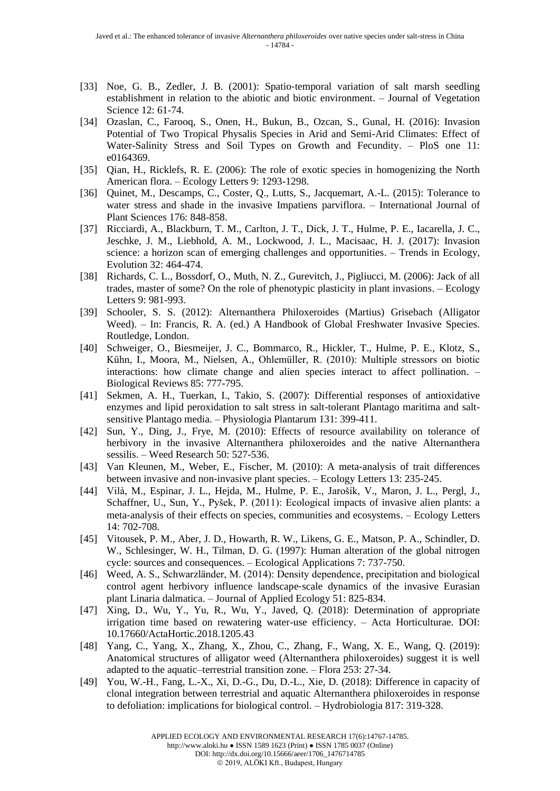- [33] Noe, G. B., Zedler, J. B. (2001): Spatio‐temporal variation of salt marsh seedling establishment in relation to the abiotic and biotic environment. – Journal of Vegetation Science 12: 61-74.
- [34] Ozaslan, C., Farooq, S., Onen, H., Bukun, B., Ozcan, S., Gunal, H. (2016): Invasion Potential of Two Tropical Physalis Species in Arid and Semi-Arid Climates: Effect of Water-Salinity Stress and Soil Types on Growth and Fecundity. – PloS one 11: e0164369.
- [35] Qian, H., Ricklefs, R. E. (2006): The role of exotic species in homogenizing the North American flora. – Ecology Letters 9: 1293-1298.
- [36] Quinet, M., Descamps, C., Coster, Q., Lutts, S., Jacquemart, A.-L. (2015): Tolerance to water stress and shade in the invasive Impatiens parviflora. – International Journal of Plant Sciences 176: 848-858.
- [37] Ricciardi, A., Blackburn, T. M., Carlton, J. T., Dick, J. T., Hulme, P. E., Iacarella, J. C., Jeschke, J. M., Liebhold, A. M., Lockwood, J. L., Macisaac, H. J. (2017): Invasion science: a horizon scan of emerging challenges and opportunities. – Trends in Ecology, Evolution 32: 464-474.
- [38] Richards, C. L., Bossdorf, O., Muth, N. Z., Gurevitch, J., Pigliucci, M. (2006): Jack of all trades, master of some? On the role of phenotypic plasticity in plant invasions. – Ecology Letters 9: 981-993.
- [39] Schooler, S. S. (2012): Alternanthera Philoxeroides (Martius) Grisebach (Alligator Weed). – In: Francis, R. A. (ed.) A Handbook of Global Freshwater Invasive Species*.* Routledge, London.
- [40] Schweiger, O., Biesmeijer, J. C., Bommarco, R., Hickler, T., Hulme, P. E., Klotz, S., Kühn, I., Moora, M., Nielsen, A., Ohlemüller, R. (2010): Multiple stressors on biotic interactions: how climate change and alien species interact to affect pollination. – Biological Reviews 85: 777-795.
- [41] Sekmen, A. H., Tuerkan, I., Takio, S. (2007): Differential responses of antioxidative enzymes and lipid peroxidation to salt stress in salt-tolerant Plantago maritima and saltsensitive Plantago media. – Physiologia Plantarum 131: 399-411.
- [42] Sun, Y., Ding, J., Frye, M. (2010): Effects of resource availability on tolerance of herbivory in the invasive Alternanthera philoxeroides and the native Alternanthera sessilis. – Weed Research 50: 527-536.
- [43] Van Kleunen, M., Weber, E., Fischer, M. (2010): A meta-analysis of trait differences between invasive and non‐invasive plant species. – Ecology Letters 13: 235-245.
- [44] Vilà, M., Espinar, J. L., Hejda, M., Hulme, P. E., Jarošík, V., Maron, J. L., Pergl, J., Schaffner, U., Sun, Y., Pyšek, P. (2011): Ecological impacts of invasive alien plants: a meta-analysis of their effects on species, communities and ecosystems. – Ecology Letters 14: 702-708.
- [45] Vitousek, P. M., Aber, J. D., Howarth, R. W., Likens, G. E., Matson, P. A., Schindler, D. W., Schlesinger, W. H., Tilman, D. G. (1997): Human alteration of the global nitrogen cycle: sources and consequences. – Ecological Applications 7: 737-750.
- [46] Weed, A. S., Schwarzländer, M. (2014): Density dependence, precipitation and biological control agent herbivory influence landscape‐scale dynamics of the invasive Eurasian plant Linaria dalmatica. – Journal of Applied Ecology 51: 825-834.
- [47] Xing, D., Wu, Y., Yu, R., Wu, Y., Javed, Q. (2018): Determination of appropriate irrigation time based on rewatering water-use efficiency. – Acta Horticulturae. DOI: 10.17660/ActaHortic.2018.1205.43
- [48] Yang, C., Yang, X., Zhang, X., Zhou, C., Zhang, F., Wang, X. E., Wang, Q. (2019): Anatomical structures of alligator weed (Alternanthera philoxeroides) suggest it is well adapted to the aquatic–terrestrial transition zone. – Flora 253: 27-34.
- [49] You, W.-H., Fang, L.-X., Xi, D.-G., Du, D.-L., Xie, D. (2018): Difference in capacity of clonal integration between terrestrial and aquatic Alternanthera philoxeroides in response to defoliation: implications for biological control. – Hydrobiologia 817: 319-328.

http://www.aloki.hu ● ISSN 1589 1623 (Print) ● ISSN 1785 0037 (Online)

DOI: http://dx.doi.org/10.15666/aeer/1706\_1476714785

© 2019, ALÖKI Kft., Budapest, Hungary